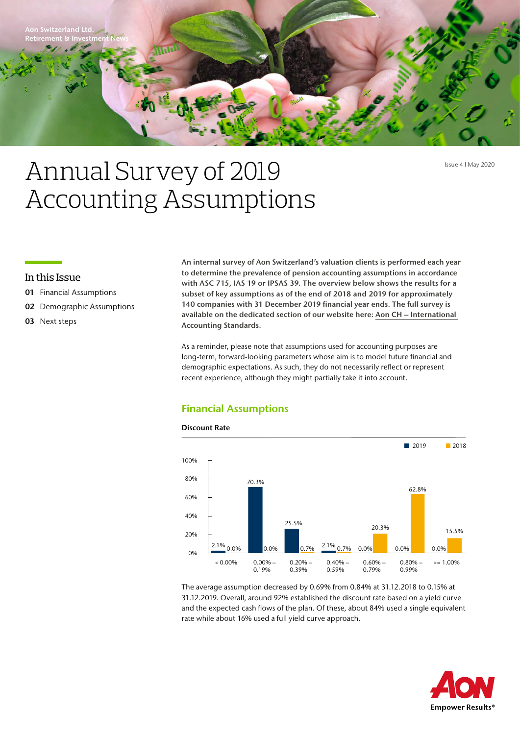

Issue 4 l May 2020

# Annual Survey of 2019 Accounting Assumptions

# In this Issue

- 01 Financial Assumptions
- 02 Demographic Assumptions

# 03 Next steps

An internal survey of Aon Switzerland's valuation clients is performed each year to determine the prevalence of pension accounting assumptions in accordance with ASC 715, IAS 19 or IPSAS 39. The overview below shows the results for a subset of key assumptions as of the end of 2018 and 2019 for approximately 140 companies with 31 December 2019 financial year ends. The full survey is available on the dedicated section of our website here: [Aon CH – International](https://www.aon.com/switzerland/en/human-resources/pension-services/international-accounting-standards.jsp?utm_source=eloqua&utm_medium=email_30617&utm_campaign=)  [Accounting Standards.](https://www.aon.com/switzerland/en/human-resources/pension-services/international-accounting-standards.jsp?utm_source=eloqua&utm_medium=email_30617&utm_campaign=)

As a reminder, please note that assumptions used for accounting purposes are long-term, forward-looking parameters whose aim is to model future financial and demographic expectations. As such, they do not necessarily reflect or represent recent experience, although they might partially take it into account.

# Financial Assumptions



The average assumption decreased by 0.69% from 0.84% at 31.12.2018 to 0.15% at 31.12.2019. Overall, around 92% established the discount rate based on a yield curve and the expected cash flows of the plan. Of these, about 84% used a single equivalent rate while about 16% used a full yield curve approach.

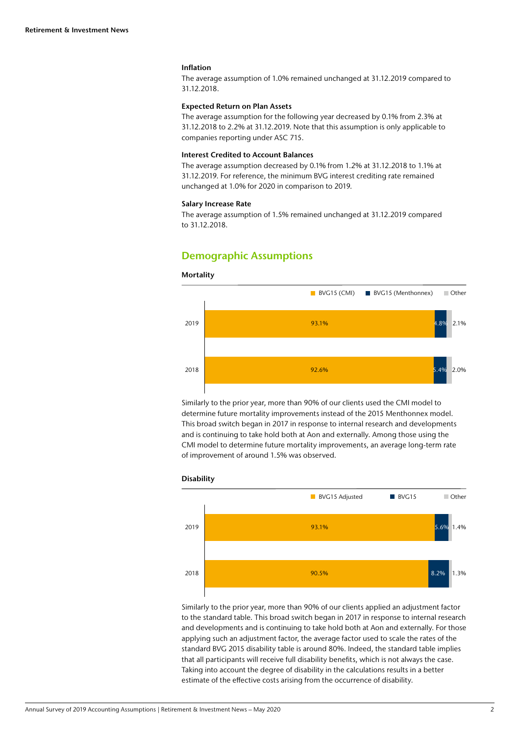#### Inflation

The average assumption of 1.0% remained unchanged at 31.12.2019 compared to 31.12.2018.

### Expected Return on Plan Assets

The average assumption for the following year decreased by 0.1% from 2.3% at 31.12.2018 to 2.2% at 31.12.2019. Note that this assumption is only applicable to companies reporting under ASC 715.

# Interest Credited to Account Balances

The average assumption decreased by 0.1% from 1.2% at 31.12.2018 to 1.1% at 31.12.2019. For reference, the minimum BVG interest crediting rate remained unchanged at 1.0% for 2020 in comparison to 2019.

#### Salary Increase Rate

The average assumption of 1.5% remained unchanged at 31.12.2019 compared to 31.12.2018.

# Demographic Assumptions

#### **Mortality**



Similarly to the prior year, more than 90% of our clients used the CMI model to determine future mortality improvements instead of the 2015 Menthonnex model. This broad switch began in 2017 in response to internal research and developments and is continuing to take hold both at Aon and externally. Among those using the CMI model to determine future mortality improvements, an average long-term rate of improvement of around 1.5% was observed.



Similarly to the prior year, more than 90% of our clients applied an adjustment factor to the standard table. This broad switch began in 2017 in response to internal research and developments and is continuing to take hold both at Aon and externally. For those applying such an adjustment factor, the average factor used to scale the rates of the standard BVG 2015 disability table is around 80%. Indeed, the standard table implies that all participants will receive full disability benefits, which is not always the case. Taking into account the degree of disability in the calculations results in a better estimate of the effective costs arising from the occurrence of disability.